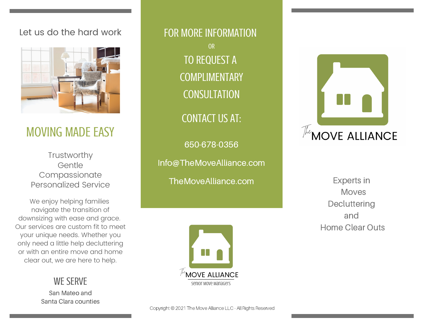#### Let us do the hard work



# MOVING MADE EASY

Trustworthy Gentle Compassionate Personalized Service

We enjoy helping families navigate the transition of downsizing with ease and grace. Our services are custom fit to meet your unique needs. Whether you only need a little help decluttering or with an entire move and home clear out, we are here to help.

WE SERVE

San Mateo and Santa Clara counties

FOR MORE INFORMATION OR TO REQUEST A COMPLIMENTARY **CONSULTATION** CONTACT US AT: 650-678-0356 Info@TheMoveAlliance.com

TheMoveAlliance.com



Experts in Moves Decluttering and Home Clear Outs